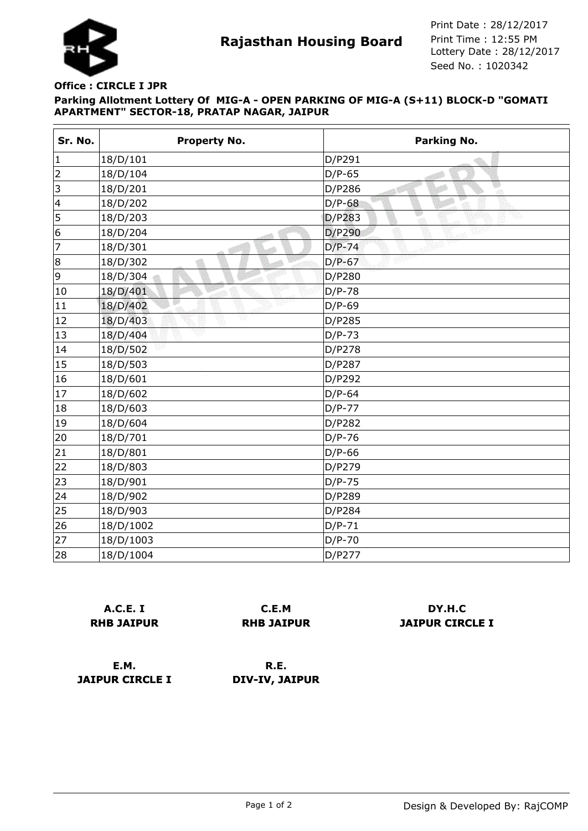

**Rajasthan Housing Board** Print Time : 12:55 PM<br>Lottery Date : 28/12/2017 Seed No. : 1020342 Print Date : 28/12/2017 Print Time : 12:55 PM

## **Parking Allotment Lottery Of MIG-A - OPEN PARKING OF MIG-A (S+11) BLOCK-D "GOMATI APARTMENT" SECTOR-18, PRATAP NAGAR, JAIPUR Office : CIRCLE I JPR**

| Sr. No.        | <b>Property No.</b> | Parking No.          |
|----------------|---------------------|----------------------|
| 1              | 18/D/101            | D/P291               |
| $\overline{2}$ | 18/D/104            | $D/P-65$             |
| 3              | 18/D/201            | D/P286<br>$\sqrt{3}$ |
| 4              | 18/D/202            | $D/P-68$             |
| 5              | 18/D/203            | D/P283               |
| 6              | 18/D/204            | D/P290               |
| 7              | 18/D/301            | $D/P-74$             |
| 8              | 18/D/302            | $D/P-67$             |
| 9              | 18/D/304            | D/P280               |
| 10             | 18/D/401            | $D/P-78$             |
| 11             | 18/D/402            | $D/P-69$             |
| 12             | v<br>18/D/403       | D/P285               |
| 13             | 18/D/404            | $D/P-73$             |
| 14             | 18/D/502            | D/P278               |
| 15             | 18/D/503            | D/P287               |
| 16             | 18/D/601            | D/P292               |
| 17             | 18/D/602            | $D/P-64$             |
| 18             | 18/D/603            | $D/P-77$             |
| 19             | 18/D/604            | D/P282               |
| 20             | 18/D/701            | $D/P-76$             |
| 21             | 18/D/801            | $D/P-66$             |
| 22             | 18/D/803            | D/P279               |
| 23             | 18/D/901            | $D/P-75$             |
| 24             | 18/D/902            | D/P289               |
| 25             | 18/D/903            | D/P284               |
| 26             | 18/D/1002           | $D/P-71$             |
| 27             | 18/D/1003           | $D/P-70$             |
| 28             | 18/D/1004           | D/P277               |

|                   | <b>A.C.E. I</b> |  |
|-------------------|-----------------|--|
| <b>RHB JAIPUR</b> |                 |  |

**C.E.M RHB JAIPUR**

**DY.H.C JAIPUR CIRCLE I**

**E.M. JAIPUR CIRCLE I**

**R.E. DIV-IV, JAIPUR**